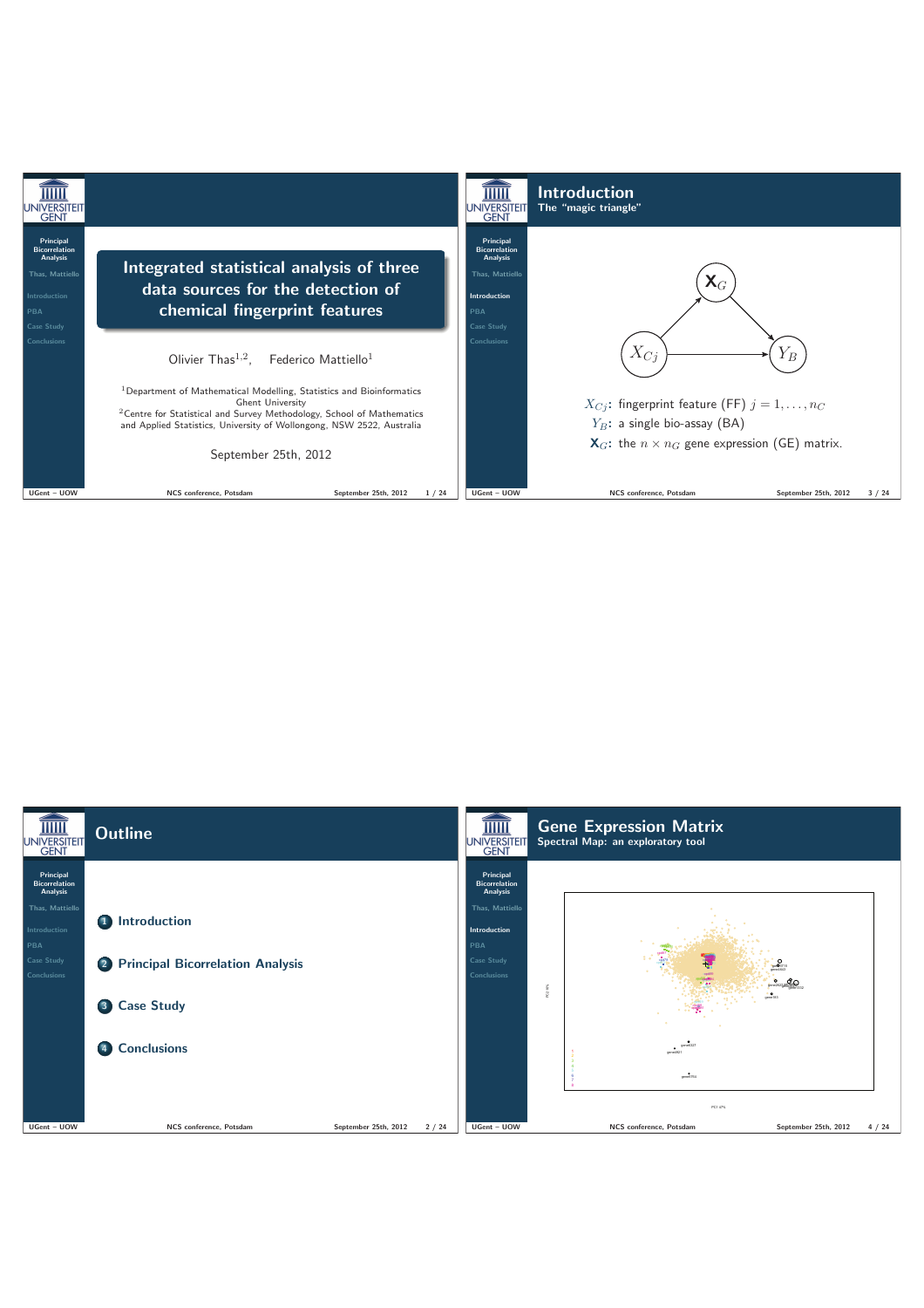

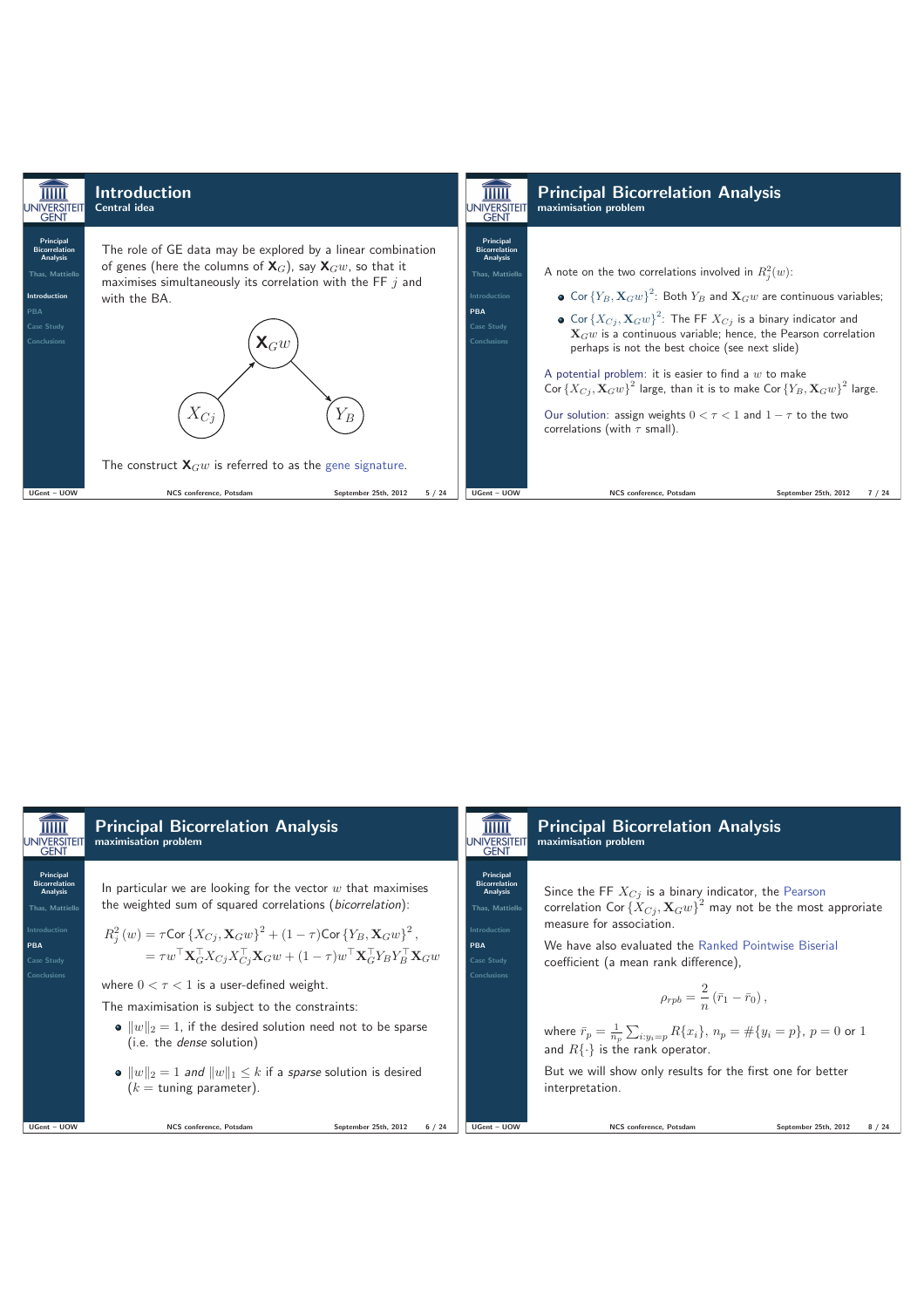

| $\overline{\rm mm}$<br><b>JNIVERSITEIT</b><br><b>GENT</b>                                                                                        | <b>Principal Bicorrelation Analysis</b><br>maximisation problem                                                                                                                                                                                                                                                                                                                                                                                                                                                                                                                                                                                                                                                                           | $\overline{\rm mm}$<br><b>JNIVERSITEIT</b><br><b>GENT</b>                                                                   | <b>Principal Bicorrelation Analysis</b><br>maximisation problem                                                                                                                                                                                                                                                                                                                                                                                                                                                                                       |
|--------------------------------------------------------------------------------------------------------------------------------------------------|-------------------------------------------------------------------------------------------------------------------------------------------------------------------------------------------------------------------------------------------------------------------------------------------------------------------------------------------------------------------------------------------------------------------------------------------------------------------------------------------------------------------------------------------------------------------------------------------------------------------------------------------------------------------------------------------------------------------------------------------|-----------------------------------------------------------------------------------------------------------------------------|-------------------------------------------------------------------------------------------------------------------------------------------------------------------------------------------------------------------------------------------------------------------------------------------------------------------------------------------------------------------------------------------------------------------------------------------------------------------------------------------------------------------------------------------------------|
| Principal<br><b>Bicorrelation</b><br>Analysis<br><b>Thas. Mattiello</b><br><b>Introduction</b><br><b>PBA</b><br>Case Study<br><b>Conclusions</b> | In particular we are looking for the vector $w$ that maximises<br>the weighted sum of squared correlations (bicorrelation):<br>$R_i^2(w) = \tau \text{Cor} \left\{ X_{C_i}, \mathbf{X}_G w \right\}^2 + (1 - \tau) \text{Cor} \left\{ Y_B, \mathbf{X}_G w \right\}^2,$<br>$= \tau w^\top \mathbf{X}_{G}^\top X_{Cj} X_{Cj}^\top \mathbf{X}_{G} w + (1-\tau) w^\top \mathbf{X}_{G}^\top Y_{B} Y_{B}^\top \mathbf{X}_{G} w$<br>where $0 < \tau < 1$ is a user-defined weight.<br>The maximisation is subject to the constraints:<br>• $  w  _2 = 1$ , if the desired solution need not to be sparse<br>(i.e. the <i>dense</i> solution)<br>• $  w  _2 = 1$ and $  w  _1 \le k$ if a sparse solution is desired<br>$(k =$ tuning parameter). | Principal<br><b>Bicorrelation</b><br>Analysis<br><b>Thas. Mattiello</b><br>Introduction<br>PBA<br>Case Study<br>Conclusions | Since the FF $X_{C_i}$ is a binary indicator, the Pearson<br>correlation Cor $\{X_{Cj}, \mathbf{X}_G w\}^2$ may not be the most approriate<br>measure for association.<br>We have also evaluated the Ranked Pointwise Biserial<br>coefficient (a mean rank difference),<br>$\rho_{rpb} = \frac{2}{n} (\bar{r}_1 - \bar{r}_0),$<br>where $\bar{r}_p = \frac{1}{n_p} \sum_{i:y_i=p} R\{x_i\}, n_p = \#\{y_i=p\}, p = 0$ or 1<br>and $R\{\cdot\}$ is the rank operator.<br>But we will show only results for the first one for better<br>interpretation. |
| UGent - UOW                                                                                                                                      | NCS conference. Potsdam<br>September 25th, 2012<br>6/24                                                                                                                                                                                                                                                                                                                                                                                                                                                                                                                                                                                                                                                                                   | UGent - UOW                                                                                                                 | NCS conference. Potsdam<br>September 25th, 2012<br>8 / 24                                                                                                                                                                                                                                                                                                                                                                                                                                                                                             |
|                                                                                                                                                  |                                                                                                                                                                                                                                                                                                                                                                                                                                                                                                                                                                                                                                                                                                                                           |                                                                                                                             |                                                                                                                                                                                                                                                                                                                                                                                                                                                                                                                                                       |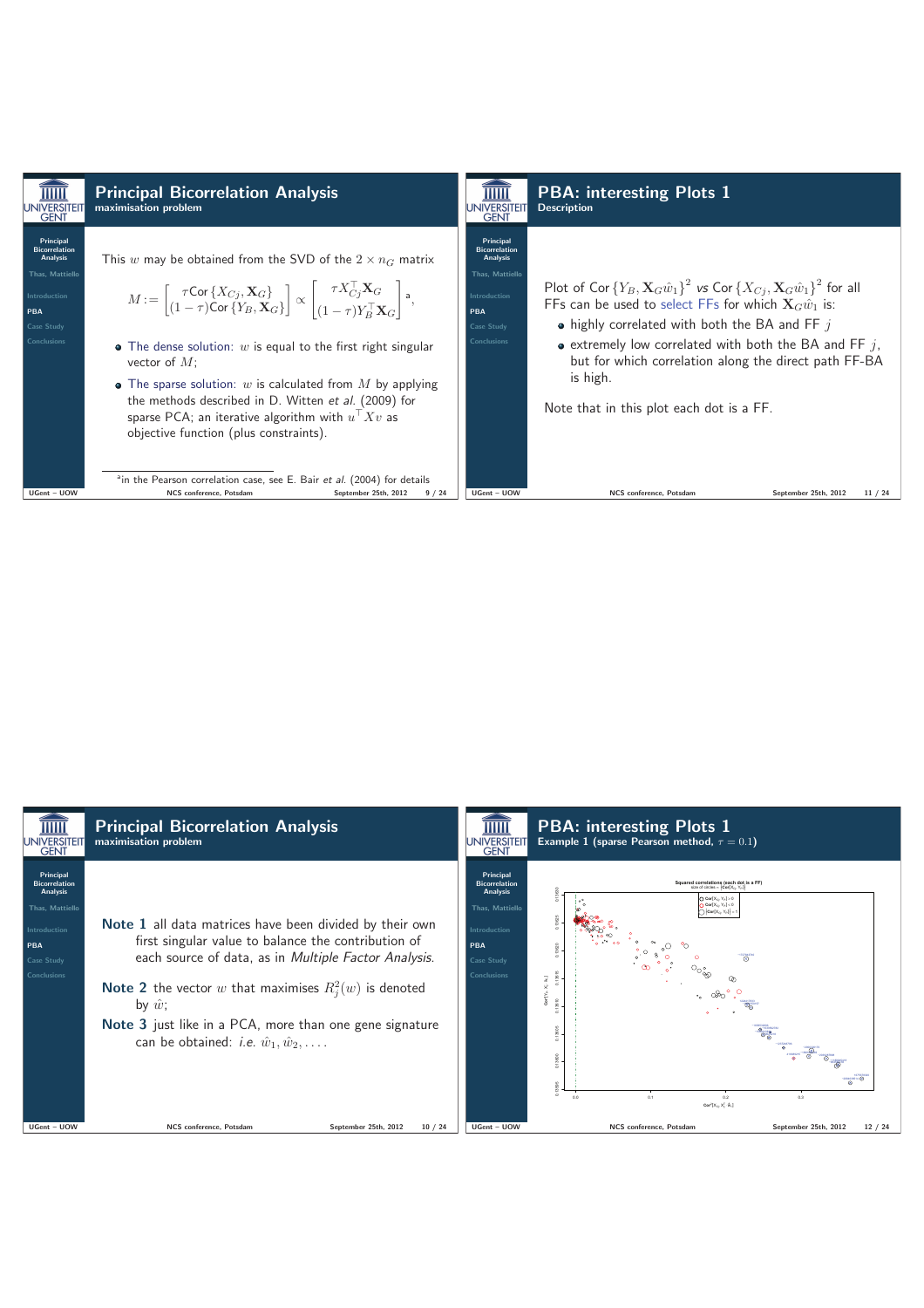

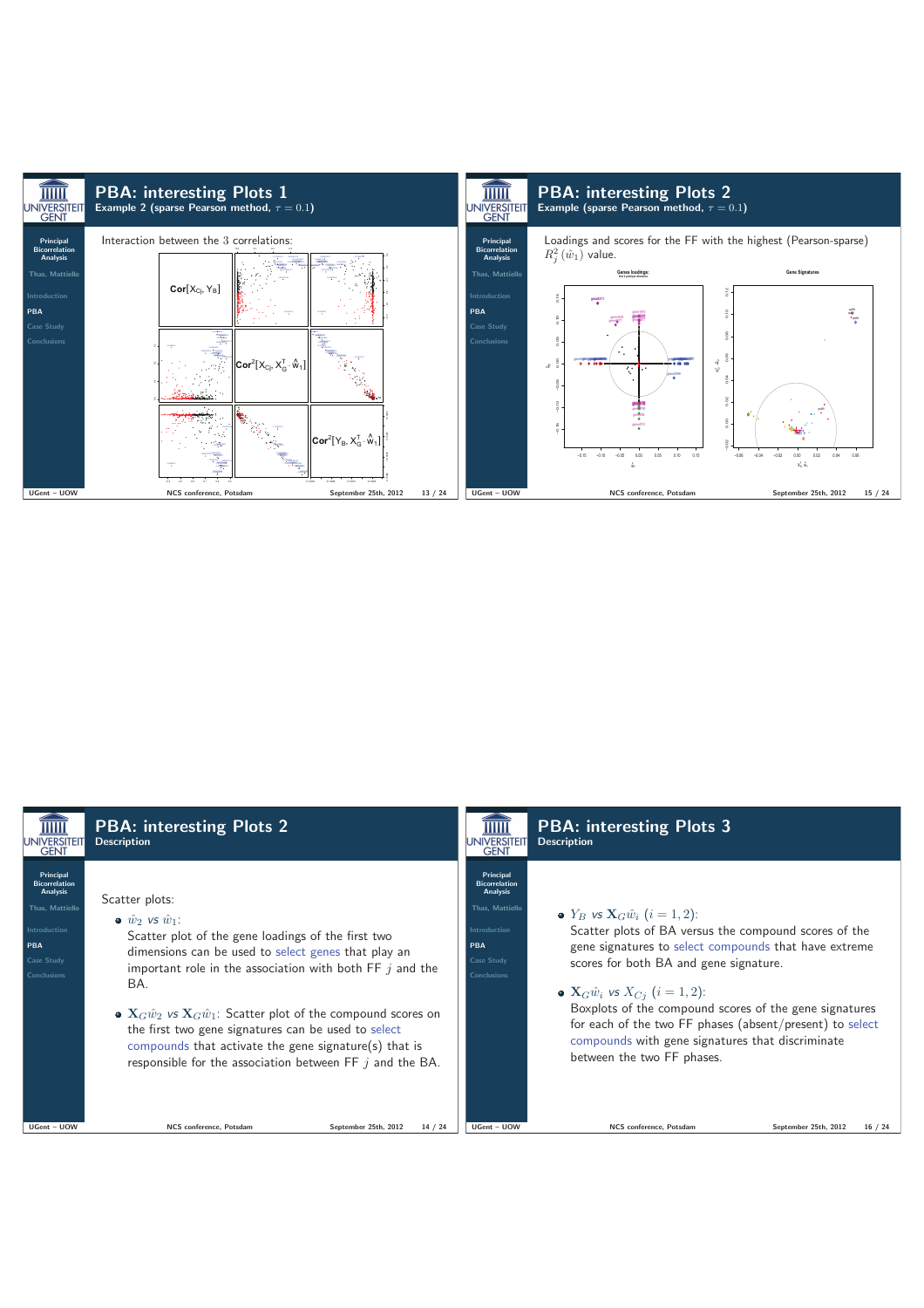

| UNIVERSITEIT<br><b>GENT</b>                                                                                                               | <b>PBA: interesting Plots 2</b><br><b>Description</b>                                                                                                                                                                                                                                                                                                                                                                                                                                                                             | <b>JNIVERSITEIT</b><br><b>GENT</b>                                                                                          | <b>PBA: interesting Plots 3</b><br><b>Description</b>                                                                                                                                                                                                                                                                                                                                                                                                                      |                      |         |
|-------------------------------------------------------------------------------------------------------------------------------------------|-----------------------------------------------------------------------------------------------------------------------------------------------------------------------------------------------------------------------------------------------------------------------------------------------------------------------------------------------------------------------------------------------------------------------------------------------------------------------------------------------------------------------------------|-----------------------------------------------------------------------------------------------------------------------------|----------------------------------------------------------------------------------------------------------------------------------------------------------------------------------------------------------------------------------------------------------------------------------------------------------------------------------------------------------------------------------------------------------------------------------------------------------------------------|----------------------|---------|
| <b>Principal</b><br><b>Bicorrelation</b><br>Analysis<br><b>Thas. Mattiello</b><br>Introduction<br>PBA<br>Case Study<br><b>Conclusions</b> | Scatter plots:<br>$\bullet$ $\hat{w}_2$ vs $\hat{w}_1$ :<br>Scatter plot of the gene loadings of the first two<br>dimensions can be used to select genes that play an<br>important role in the association with both $FF$ <i>i</i> and the<br>BA.<br>• ${\bf X}_G\hat{w}_2$ vs ${\bf X}_G\hat{w}_1$ : Scatter plot of the compound scores on<br>the first two gene signatures can be used to select<br>compounds that activate the gene signature(s) that is<br>responsible for the association between $FF$ <i>i</i> and the BA. | Principal<br><b>Bicorrelation</b><br>Analysis<br><b>Thas, Mattiello</b><br>Introduction<br>PBA<br>Case Study<br>Conclusions | • $Y_R$ vs ${\bf X}_G \hat{w}_i$ $(i = 1, 2)$ :<br>Scatter plots of BA versus the compound scores of the<br>gene signatures to select compounds that have extreme<br>scores for both BA and gene signature.<br>• ${\bf X}_G \hat{w}_i$ vs $X_{C_i}$ $(i = 1, 2)$ :<br>Boxplots of the compound scores of the gene signatures<br>for each of the two FF phases (absent/present) to select<br>compounds with gene signatures that discriminate<br>between the two FF phases. |                      |         |
| UGent - UOW                                                                                                                               | NCS conference, Potsdam<br>September 25th, 2012                                                                                                                                                                                                                                                                                                                                                                                                                                                                                   | UGent - UOW<br>14/24                                                                                                        | NCS conference. Potsdam                                                                                                                                                                                                                                                                                                                                                                                                                                                    | September 25th, 2012 | 16 / 24 |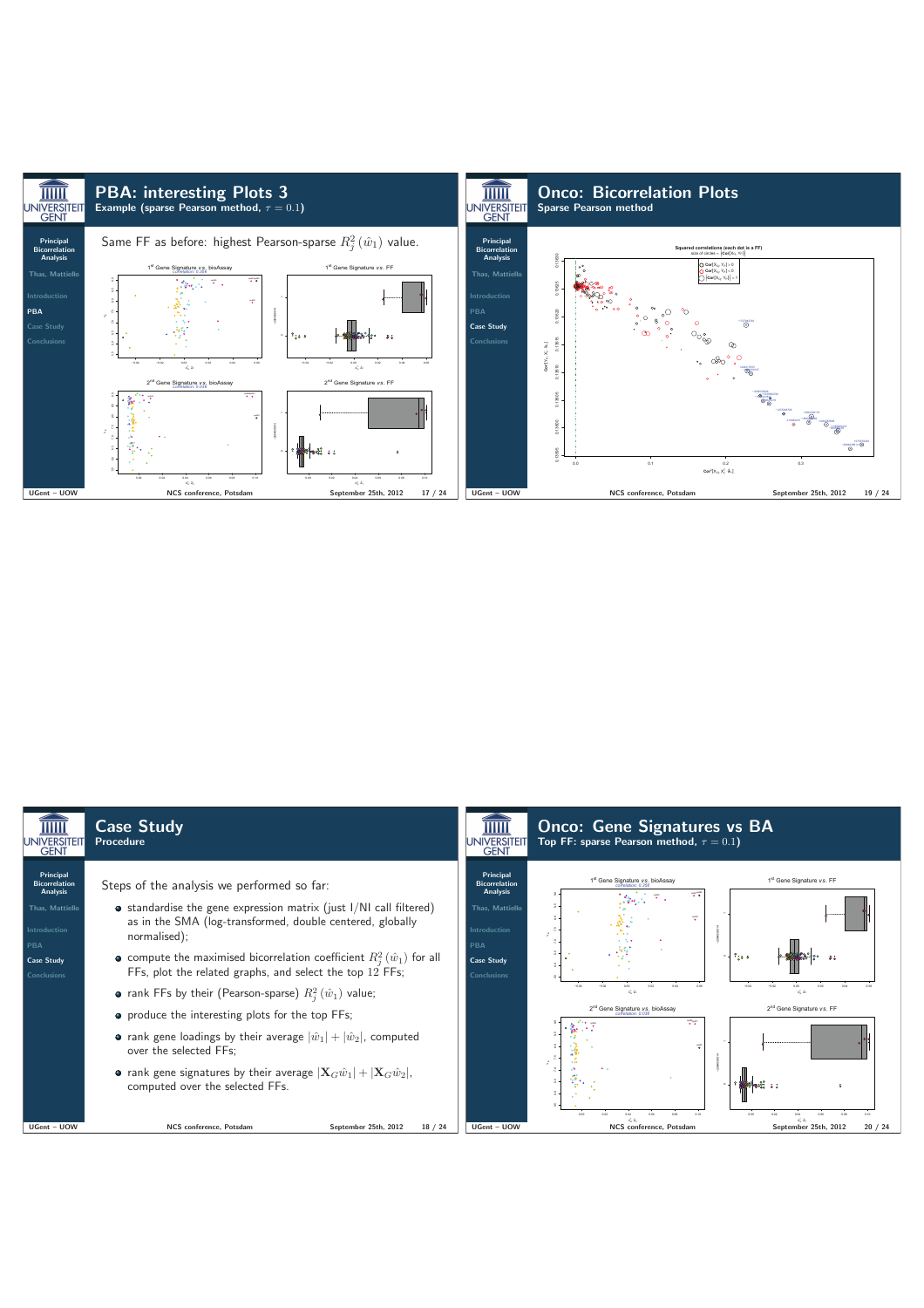

| <b>JNIVERSITEIT</b><br><b>GENT</b>                                                                                                                      | <b>Case Study</b><br>Procedure                                                                                                                                                                                                                                                                                                                                                                                                                                                                                                                                                      | <b>UNIVERSITEIT</b><br><b>GENT</b>                                                                                                                             | <b>Onco: Gene Signatures vs BA</b><br>Top FF: sparse Pearson method, $\tau = 0.1$ )                                                                                                                                                                                                           |
|---------------------------------------------------------------------------------------------------------------------------------------------------------|-------------------------------------------------------------------------------------------------------------------------------------------------------------------------------------------------------------------------------------------------------------------------------------------------------------------------------------------------------------------------------------------------------------------------------------------------------------------------------------------------------------------------------------------------------------------------------------|----------------------------------------------------------------------------------------------------------------------------------------------------------------|-----------------------------------------------------------------------------------------------------------------------------------------------------------------------------------------------------------------------------------------------------------------------------------------------|
| Principal<br><b>Bicorrelation</b><br><b>Analysis</b><br><b>Thas. Mattiello</b><br><b>Introduction</b><br>PBA<br><b>Case Study</b><br><b>Conclusions</b> | Steps of the analysis we performed so far:<br>$\bullet$ standardise the gene expression matrix (just I/NI call filtered)<br>as in the SMA (log-transformed, double centered, globally<br>normalised);<br>• compute the maximised bicorrelation coefficient $R_i^2(\hat{w}_1)$ for all<br>FFs, plot the related graphs, and select the top $12$ FFs;<br>• rank FFs by their (Pearson-sparse) $R_i^2(\hat{w}_1)$ value;<br>• produce the interesting plots for the top FFs;<br>• rank gene loadings by their average $ \hat{w}_1  +  \hat{w}_2 $ , computed<br>over the selected FFs: | Principal<br><b>Bicorrelation</b><br><b>Analysis</b><br><b>Thas. Mattiello</b><br><b>Introduction</b><br><b>PBA</b><br><b>Case Study</b><br><b>Conclusions</b> | 1st Gene Signature vs. bioAssay<br>1st Gene Signature vs. FF<br>÷.<br>÷<br>$\sim$ $\frac{9}{26.6}$<br>$-0.02$<br>$-0.04$<br>6.00<br>$\mathbf{x}_n^{\mathsf{T}}\cdot\hat{\mathbf{u}}_1$<br>xL4.<br>2 <sup>nd</sup> Gene Signature vs. FF<br>2 <sup>nd</sup> Gene Signature vs. bioAssay<br>ŦŦ. |
| UGent - UOW                                                                                                                                             | • rank gene signatures by their average $ \mathbf{X}_G\hat{w}_1  +  \mathbf{X}_G\hat{w}_2 $ ,<br>computed over the selected FFs.<br>NCS conference, Potsdam<br>September 25th, 2012<br>18/24                                                                                                                                                                                                                                                                                                                                                                                        | UGent - UOW                                                                                                                                                    | 0.00<br>0.06<br>0.08<br>0.50<br>$x^{\epsilon}$ . $\hat{u}$<br>NCS conference, Potsdam<br>September 25th, 2012<br>20/24                                                                                                                                                                        |